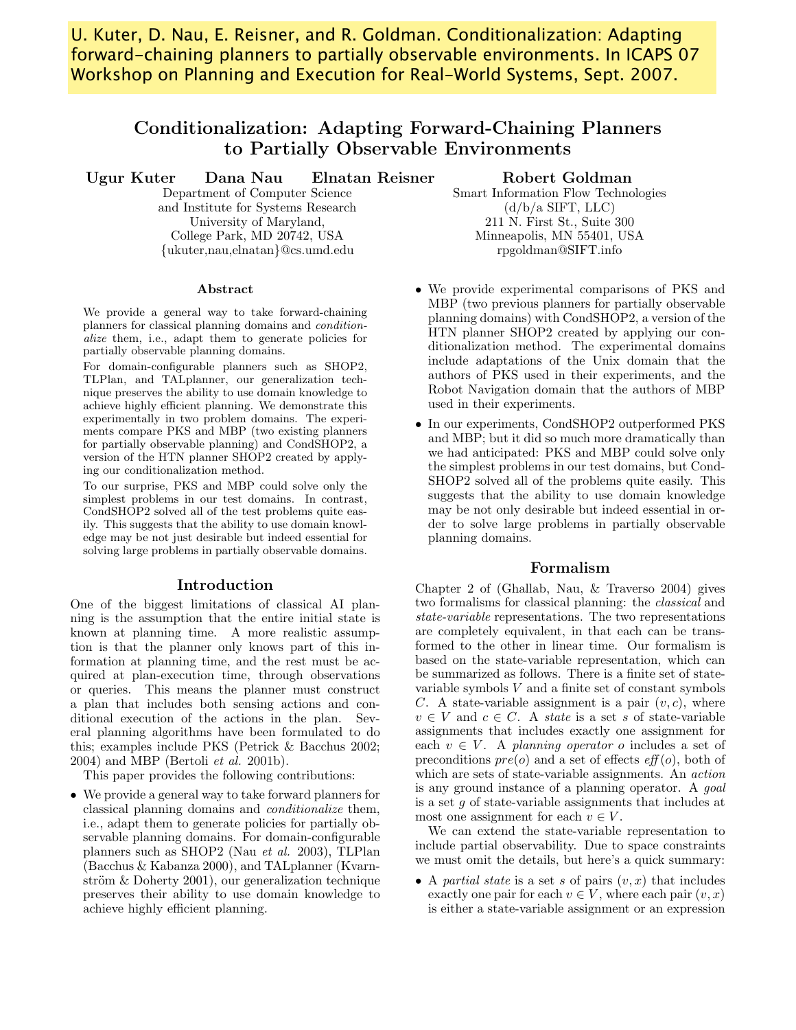U. Kuter, D. Nau, E. Reisner, and R. Goldman. Conditionalization: Adapting forward-chaining planners to partially observable environments. In ICAPS 07 Workshop on Planning and Execution for Real-World Systems, Sept. 2007.

# Conditionalization: Adapting Forward-Chaining Planners to Partially Observable Environments

Ugur Kuter Dana Nau Elnatan Reisner

Department of Computer Science and Institute for Systems Research University of Maryland, College Park, MD 20742, USA {ukuter,nau,elnatan}@cs.umd.edu

#### Abstract

We provide a general way to take forward-chaining planners for classical planning domains and *conditionalize* them, i.e., adapt them to generate policies for partially observable planning domains.

For domain-configurable planners such as SHOP2, TLPlan, and TALplanner, our generalization technique preserves the ability to use domain knowledge to achieve highly efficient planning. We demonstrate this experimentally in two problem domains. The experiments compare PKS and MBP (two existing planners for partially observable planning) and CondSHOP2, a version of the HTN planner SHOP2 created by applying our conditionalization method.

To our surprise, PKS and MBP could solve only the simplest problems in our test domains. In contrast, CondSHOP2 solved all of the test problems quite easily. This suggests that the ability to use domain knowledge may be not just desirable but indeed essential for solving large problems in partially observable domains.

#### Introduction

One of the biggest limitations of classical AI planning is the assumption that the entire initial state is known at planning time. A more realistic assumption is that the planner only knows part of this information at planning time, and the rest must be acquired at plan-execution time, through observations or queries. This means the planner must construct a plan that includes both sensing actions and conditional execution of the actions in the plan. Several planning algorithms have been formulated to do this; examples include PKS (Petrick & Bacchus 2002; 2004) and MBP (Bertoli et al. 2001b).

This paper provides the following contributions:

• We provide a general way to take forward planners for classical planning domains and conditionalize them, i.e., adapt them to generate policies for partially observable planning domains. For domain-configurable planners such as SHOP2 (Nau et al. 2003), TLPlan (Bacchus & Kabanza 2000), and TALplanner (Kvarnström  $&$  Doherty 2001), our generalization technique preserves their ability to use domain knowledge to achieve highly efficient planning.

Robert Goldman Smart Information Flow Technologies  $(d/b/a$  SIFT, LLC 211 N. First St., Suite 300 Minneapolis, MN 55401, USA rpgoldman@SIFT.info

- We provide experimental comparisons of PKS and MBP (two previous planners for partially observable planning domains) with CondSHOP2, a version of the HTN planner SHOP2 created by applying our conditionalization method. The experimental domains include adaptations of the Unix domain that the authors of PKS used in their experiments, and the Robot Navigation domain that the authors of MBP used in their experiments.
- In our experiments, CondSHOP2 outperformed PKS and MBP; but it did so much more dramatically than we had anticipated: PKS and MBP could solve only the simplest problems in our test domains, but Cond-SHOP2 solved all of the problems quite easily. This suggests that the ability to use domain knowledge may be not only desirable but indeed essential in order to solve large problems in partially observable planning domains.

### Formalism

Chapter 2 of (Ghallab, Nau, & Traverso 2004) gives two formalisms for classical planning: the classical and state-variable representations. The two representations are completely equivalent, in that each can be transformed to the other in linear time. Our formalism is based on the state-variable representation, which can be summarized as follows. There is a finite set of statevariable symbols V and a finite set of constant symbols C. A state-variable assignment is a pair  $(v, c)$ , where  $v \in V$  and  $c \in C$ . A state is a set s of state-variable assignments that includes exactly one assignment for each  $v \in V$ . A planning operator o includes a set of preconditions  $pre(o)$  and a set of effects  $eff(o)$ , both of which are sets of state-variable assignments. An action is any ground instance of a planning operator. A goal is a set g of state-variable assignments that includes at most one assignment for each  $v \in V$ .

We can extend the state-variable representation to include partial observability. Due to space constraints we must omit the details, but here's a quick summary:

• A partial state is a set s of pairs  $(v, x)$  that includes exactly one pair for each  $v \in V$ , where each pair  $(v, x)$ is either a state-variable assignment or an expression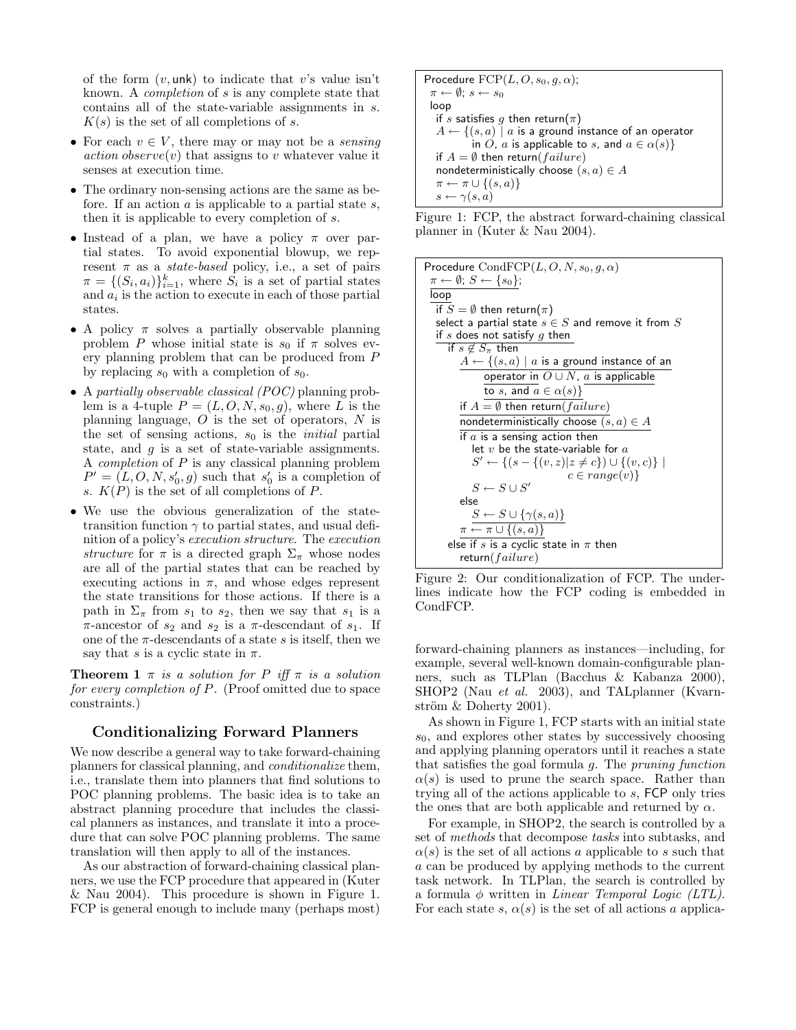of the form  $(v, \text{unk})$  to indicate that v's value isn't known. A completion of s is any complete state that contains all of the state-variable assignments in s.  $K(s)$  is the set of all completions of s.

- For each  $v \in V$ , there may or may not be a *sensing* action observe(v) that assigns to v whatever value it senses at execution time.
- The ordinary non-sensing actions are the same as before. If an action  $a$  is applicable to a partial state  $s$ , then it is applicable to every completion of s.
- Instead of a plan, we have a policy  $\pi$  over partial states. To avoid exponential blowup, we represent  $\pi$  as a *state-based* policy, i.e., a set of pairs  $\pi = \{ (S_i, a_i) \}_{i=1}^k$ , where  $S_i$  is a set of partial states and  $a_i$  is the action to execute in each of those partial states.
- A policy  $\pi$  solves a partially observable planning problem P whose initial state is  $s_0$  if  $\pi$  solves every planning problem that can be produced from P by replacing  $s_0$  with a completion of  $s_0$ .
- A partially observable classical (POC) planning problem is a 4-tuple  $P = (L, O, N, s_0, g)$ , where L is the planning language,  $O$  is the set of operators,  $N$  is the set of sensing actions,  $s_0$  is the *initial* partial state, and  $g$  is a set of state-variable assignments. A completion of P is any classical planning problem  $P' = (L, O, N, s'_0, g)$  such that  $s'_0$  is a completion of s.  $K(P)$  is the set of all completions of P.
- We use the obvious generalization of the statetransition function  $\gamma$  to partial states, and usual definition of a policy's execution structure. The execution structure for  $\pi$  is a directed graph  $\Sigma_{\pi}$  whose nodes are all of the partial states that can be reached by executing actions in  $\pi$ , and whose edges represent the state transitions for those actions. If there is a path in  $\Sigma_{\pi}$  from  $s_1$  to  $s_2$ , then we say that  $s_1$  is a  $\pi$ -ancestor of  $s_2$  and  $s_2$  is a  $\pi$ -descendant of  $s_1$ . If one of the  $\pi$ -descendants of a state s is itself, then we say that s is a cyclic state in  $\pi$ .

**Theorem 1**  $\pi$  is a solution for P iff  $\pi$  is a solution for every completion of P. (Proof omitted due to space constraints.)

# Conditionalizing Forward Planners

We now describe a general way to take forward-chaining planners for classical planning, and conditionalize them, i.e., translate them into planners that find solutions to POC planning problems. The basic idea is to take an abstract planning procedure that includes the classical planners as instances, and translate it into a procedure that can solve POC planning problems. The same translation will then apply to all of the instances.

As our abstraction of forward-chaining classical planners, we use the FCP procedure that appeared in (Kuter & Nau 2004). This procedure is shown in Figure 1. FCP is general enough to include many (perhaps most)

```
Procedure \text{FCP}(L, O, s_0, g, \alpha);
\pi \leftarrow \emptyset; s \leftarrow s_0loop
  if s satisfies g then return(\pi)A \leftarrow \{(s, a) \mid a is a ground instance of an operator
            in O, a is applicable to s, and a \in \alpha(s)}
  if A = \emptyset then return(failure)
  nondeterministically choose (s, a) \in A\pi \leftarrow \pi \cup \{(s,a)\}\s \leftarrow \gamma(s, a)
```
Figure 1: FCP, the abstract forward-chaining classical planner in (Kuter & Nau 2004).

Proceedure CondFCP(L, O, N, s<sub>0</sub>, g, α)

\n
$$
\frac{\pi \leftarrow \emptyset; S \leftarrow \{s_0\}}{\text{loop}};
$$
\nif S = ∅ then return(π)

\nselect a partial state  $s \in S$  and remove it from S

\nif s does not satisfy g then

\nif  $s \notin S_\pi$  then

\n $A \leftarrow \{(s, a) \mid a \text{ is a ground instance of an operator in O ∪ N, a \text{ is applicable to } s, \text{ and } a \in \alpha(s)\}$ 

\nif  $A = \emptyset$  then return(failure)

\nmodeterministically choose  $(s, a) \in A$ 

\nif a is a sensing action then let v be the state-variable for a

\n $S' \leftarrow \{(s - \{(v, z) | z \neq c\}) \cup \{(v, c)\} \mid s \in S \cup S'$ 

\nelse

\n $S \leftarrow S \cup S'$ 

\nelse

\n $S \leftarrow S \cup \{\gamma(s, a)\}$ 

\n $\pi \leftarrow \pi \cup \{(s, a)\}$ 

\nelse if s is a cyclic state in π then return(failure)

Figure 2: Our conditionalization of FCP. The underlines indicate how the FCP coding is embedded in CondFCP.

forward-chaining planners as instances—including, for example, several well-known domain-configurable planners, such as TLPlan (Bacchus & Kabanza 2000), SHOP2 (Nau et al. 2003), and TALplanner (Kvarnström  $&$  Doherty 2001).

As shown in Figure 1, FCP starts with an initial state  $s_0$ , and explores other states by successively choosing and applying planning operators until it reaches a state that satisfies the goal formula g. The pruning function  $\alpha(s)$  is used to prune the search space. Rather than trying all of the actions applicable to s, FCP only tries the ones that are both applicable and returned by  $\alpha$ .

For example, in SHOP2, the search is controlled by a set of methods that decompose tasks into subtasks, and  $\alpha(s)$  is the set of all actions a applicable to s such that a can be produced by applying methods to the current task network. In TLPlan, the search is controlled by a formula  $\phi$  written in *Linear Temporal Logic (LTL)*. For each state s,  $\alpha(s)$  is the set of all actions a applica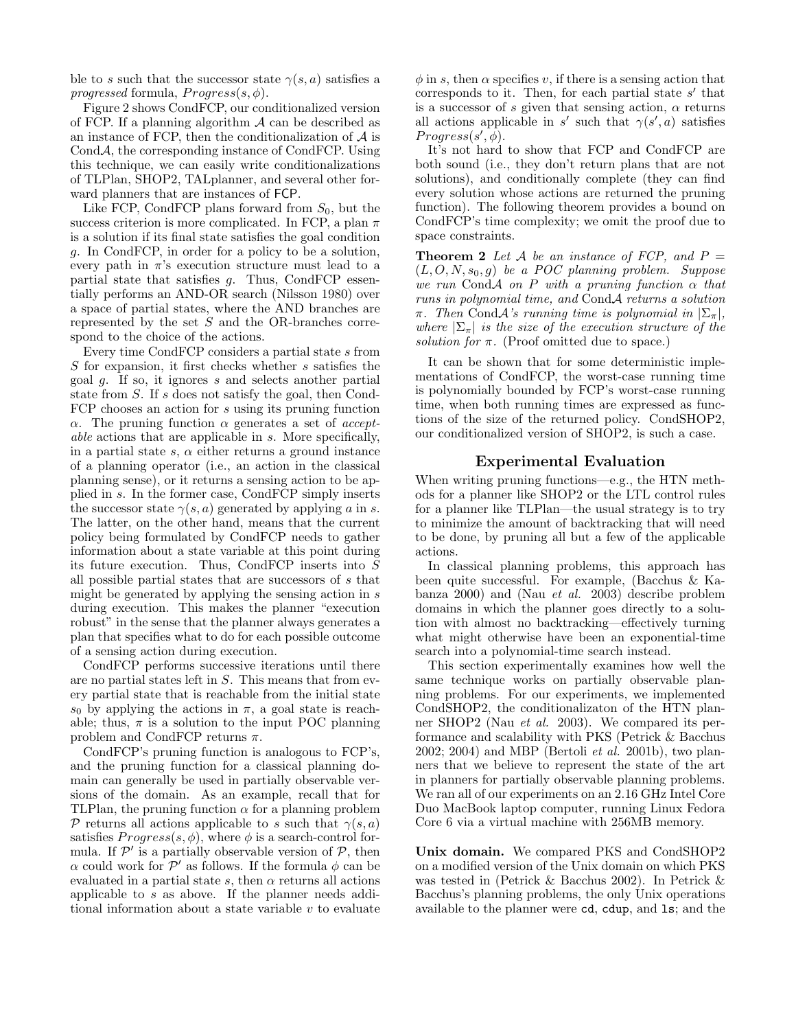ble to s such that the successor state  $\gamma(s, a)$  satisfies a progressed formula,  $Progress(s, \phi)$ .

Figure 2 shows CondFCP, our conditionalized version of FCP. If a planning algorithm  $A$  can be described as an instance of FCP, then the conditionalization of  $A$  is CondA, the corresponding instance of CondFCP. Using this technique, we can easily write conditionalizations of TLPlan, SHOP2, TALplanner, and several other forward planners that are instances of FCP.

Like FCP, CondFCP plans forward from  $S_0$ , but the success criterion is more complicated. In FCP, a plan  $\pi$ is a solution if its final state satisfies the goal condition g. In CondFCP, in order for a policy to be a solution, every path in  $\pi$ 's execution structure must lead to a partial state that satisfies g. Thus, CondFCP essentially performs an AND-OR search (Nilsson 1980) over a space of partial states, where the AND branches are represented by the set S and the OR-branches correspond to the choice of the actions.

Every time CondFCP considers a partial state s from  $S$  for expansion, it first checks whether  $s$  satisfies the goal g. If so, it ignores s and selects another partial state from S. If s does not satisfy the goal, then Cond-FCP chooses an action for s using its pruning function α. The pruning function α generates a set of acceptable actions that are applicable in s. More specifically, in a partial state s,  $\alpha$  either returns a ground instance of a planning operator (i.e., an action in the classical planning sense), or it returns a sensing action to be applied in s. In the former case, CondFCP simply inserts the successor state  $\gamma(s, a)$  generated by applying a in s. The latter, on the other hand, means that the current policy being formulated by CondFCP needs to gather information about a state variable at this point during its future execution. Thus, CondFCP inserts into S all possible partial states that are successors of s that might be generated by applying the sensing action in  $s$ during execution. This makes the planner "execution robust" in the sense that the planner always generates a plan that specifies what to do for each possible outcome of a sensing action during execution.

CondFCP performs successive iterations until there are no partial states left in S. This means that from every partial state that is reachable from the initial state s<sub>0</sub> by applying the actions in  $\pi$ , a goal state is reachable; thus,  $\pi$  is a solution to the input POC planning problem and CondFCP returns  $\pi$ .

CondFCP's pruning function is analogous to FCP's, and the pruning function for a classical planning domain can generally be used in partially observable versions of the domain. As an example, recall that for TLPlan, the pruning function  $\alpha$  for a planning problem P returns all actions applicable to s such that  $\gamma(s, a)$ satisfies  $Progress(s, \phi)$ , where  $\phi$  is a search-control formula. If  $\mathcal{P}'$  is a partially observable version of  $\mathcal{P}$ , then  $\alpha$  could work for  $\mathcal{P}'$  as follows. If the formula  $\phi$  can be evaluated in a partial state s, then  $\alpha$  returns all actions applicable to s as above. If the planner needs additional information about a state variable  $v$  to evaluate

 $\phi$  in s, then  $\alpha$  specifies v, if there is a sensing action that corresponds to it. Then, for each partial state  $s'$  that is a successor of s given that sensing action,  $\alpha$  returns all actions applicable in s' such that  $\gamma(s', a)$  satisfies  $Progress(s', \phi).$ 

It's not hard to show that FCP and CondFCP are both sound (i.e., they don't return plans that are not solutions), and conditionally complete (they can find every solution whose actions are returned the pruning function). The following theorem provides a bound on CondFCP's time complexity; we omit the proof due to space constraints.

**Theorem 2** Let A be an instance of FCP, and  $P =$  $(L, O, N, s_0, g)$  be a POC planning problem. Suppose we run Cond $A$  on P with a pruning function  $\alpha$  that runs in polynomial time, and CondA returns a solution  $\pi$ . Then CondA's running time is polynomial in  $|\Sigma_{\pi}|$ , where  $|\Sigma_{\pi}|$  is the size of the execution structure of the solution for  $\pi$ . (Proof omitted due to space.)

It can be shown that for some deterministic implementations of CondFCP, the worst-case running time is polynomially bounded by FCP's worst-case running time, when both running times are expressed as functions of the size of the returned policy. CondSHOP2, our conditionalized version of SHOP2, is such a case.

## Experimental Evaluation

When writing pruning functions—e.g., the HTN methods for a planner like SHOP2 or the LTL control rules for a planner like TLPlan—the usual strategy is to try to minimize the amount of backtracking that will need to be done, by pruning all but a few of the applicable actions.

In classical planning problems, this approach has been quite successful. For example, (Bacchus & Kabanza 2000) and (Nau et al. 2003) describe problem domains in which the planner goes directly to a solution with almost no backtracking—effectively turning what might otherwise have been an exponential-time search into a polynomial-time search instead.

This section experimentally examines how well the same technique works on partially observable planning problems. For our experiments, we implemented CondSHOP2, the conditionalizaton of the HTN planner SHOP2 (Nau et al. 2003). We compared its performance and scalability with PKS (Petrick & Bacchus  $2002$ ;  $2004$ ) and MBP (Bertoli *et al.*  $2001b$ ), two planners that we believe to represent the state of the art in planners for partially observable planning problems. We ran all of our experiments on an 2.16 GHz Intel Core Duo MacBook laptop computer, running Linux Fedora Core 6 via a virtual machine with 256MB memory.

Unix domain. We compared PKS and CondSHOP2 on a modified version of the Unix domain on which PKS was tested in (Petrick & Bacchus 2002). In Petrick & Bacchus's planning problems, the only Unix operations available to the planner were cd, cdup, and ls; and the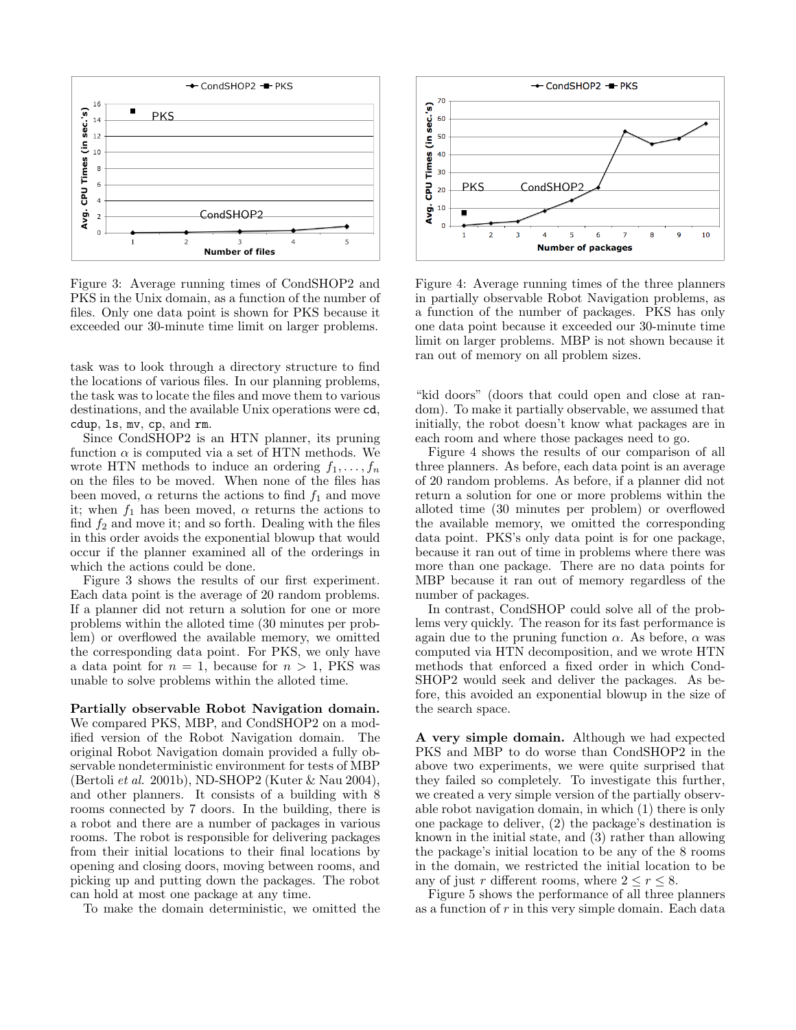

Figure 3: Average running times of CondSHOP2 and PKS in the Unix domain, as a function of the number of files. Only one data point is shown for PKS because it exceeded our 30-minute time limit on larger problems.

task was to look through a directory structure to find the locations of various files. In our planning problems, the task was to locate the files and move them to various destinations, and the available Unix operations were cd, cdup, ls, mv, cp, and rm.

Since CondSHOP2 is an HTN planner, its pruning function  $\alpha$  is computed via a set of HTN methods. We wrote HTN methods to induce an ordering  $f_1, \ldots, f_n$ on the files to be moved. When none of the files has been moved,  $\alpha$  returns the actions to find  $f_1$  and move it; when  $f_1$  has been moved,  $\alpha$  returns the actions to find  $f_2$  and move it; and so forth. Dealing with the files in this order avoids the exponential blowup that would occur if the planner examined all of the orderings in which the actions could be done.

Figure 3 shows the results of our first experiment. Each data point is the average of 20 random problems. If a planner did not return a solution for one or more problems within the alloted time (30 minutes per problem) or overflowed the available memory, we omitted the corresponding data point. For PKS, we only have a data point for  $n = 1$ , because for  $n > 1$ , PKS was unable to solve problems within the alloted time.

Partially observable Robot Navigation domain. We compared PKS, MBP, and CondSHOP2 on a modified version of the Robot Navigation domain. The original Robot Navigation domain provided a fully observable nondeterministic environment for tests of MBP (Bertoli et al. 2001b), ND-SHOP2 (Kuter & Nau 2004), and other planners. It consists of a building with 8 rooms connected by 7 doors. In the building, there is a robot and there are a number of packages in various rooms. The robot is responsible for delivering packages from their initial locations to their final locations by opening and closing doors, moving between rooms, and picking up and putting down the packages. The robot can hold at most one package at any time.

To make the domain deterministic, we omitted the



Figure 4: Average running times of the three planners in partially observable Robot Navigation problems, as a function of the number of packages. PKS has only one data point because it exceeded our 30-minute time limit on larger problems. MBP is not shown because it ran out of memory on all problem sizes.

"kid doors" (doors that could open and close at random). To make it partially observable, we assumed that initially, the robot doesn't know what packages are in each room and where those packages need to go.

Figure 4 shows the results of our comparison of all three planners. As before, each data point is an average of 20 random problems. As before, if a planner did not return a solution for one or more problems within the alloted time (30 minutes per problem) or overflowed the available memory, we omitted the corresponding data point. PKS's only data point is for one package, because it ran out of time in problems where there was more than one package. There are no data points for MBP because it ran out of memory regardless of the number of packages.

In contrast, CondSHOP could solve all of the problems very quickly. The reason for its fast performance is again due to the pruning function  $\alpha$ . As before,  $\alpha$  was computed via HTN decomposition, and we wrote HTN methods that enforced a fixed order in which Cond-SHOP2 would seek and deliver the packages. As before, this avoided an exponential blowup in the size of the search space.

A very simple domain. Although we had expected PKS and MBP to do worse than CondSHOP2 in the above two experiments, we were quite surprised that they failed so completely. To investigate this further, we created a very simple version of the partially observable robot navigation domain, in which (1) there is only one package to deliver, (2) the package's destination is known in the initial state, and (3) rather than allowing the package's initial location to be any of the 8 rooms in the domain, we restricted the initial location to be any of just r different rooms, where  $2 \le r \le 8$ .

Figure 5 shows the performance of all three planners as a function of  $r$  in this very simple domain. Each data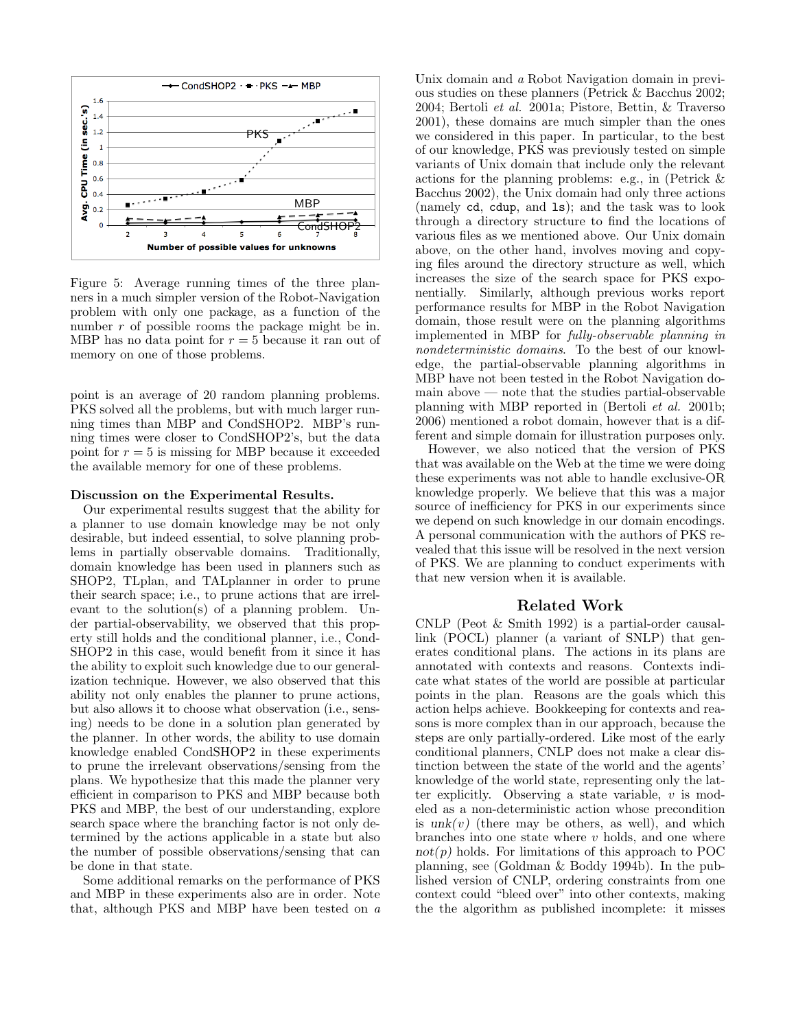

Figure 5: Average running times of the three planners in a much simpler version of the Robot-Navigation problem with only one package, as a function of the number r of possible rooms the package might be in. MBP has no data point for  $r = 5$  because it ran out of memory on one of those problems.

point is an average of 20 random planning problems. PKS solved all the problems, but with much larger running times than MBP and CondSHOP2. MBP's running times were closer to CondSHOP2's, but the data point for  $r = 5$  is missing for MBP because it exceeded the available memory for one of these problems.

#### Discussion on the Experimental Results.

Our experimental results suggest that the ability for a planner to use domain knowledge may be not only desirable, but indeed essential, to solve planning problems in partially observable domains. Traditionally, domain knowledge has been used in planners such as SHOP2, TLplan, and TALplanner in order to prune their search space; i.e., to prune actions that are irrelevant to the solution(s) of a planning problem. Under partial-observability, we observed that this property still holds and the conditional planner, i.e., Cond-SHOP2 in this case, would benefit from it since it has the ability to exploit such knowledge due to our generalization technique. However, we also observed that this ability not only enables the planner to prune actions, but also allows it to choose what observation (i.e., sensing) needs to be done in a solution plan generated by the planner. In other words, the ability to use domain knowledge enabled CondSHOP2 in these experiments to prune the irrelevant observations/sensing from the plans. We hypothesize that this made the planner very efficient in comparison to PKS and MBP because both PKS and MBP, the best of our understanding, explore search space where the branching factor is not only determined by the actions applicable in a state but also the number of possible observations/sensing that can be done in that state.

Some additional remarks on the performance of PKS and MBP in these experiments also are in order. Note that, although PKS and MBP have been tested on a

Unix domain and a Robot Navigation domain in previous studies on these planners (Petrick & Bacchus 2002; 2004; Bertoli et al. 2001a; Pistore, Bettin, & Traverso 2001), these domains are much simpler than the ones we considered in this paper. In particular, to the best of our knowledge, PKS was previously tested on simple variants of Unix domain that include only the relevant actions for the planning problems: e.g., in (Petrick & Bacchus 2002), the Unix domain had only three actions (namely cd, cdup, and ls); and the task was to look through a directory structure to find the locations of various files as we mentioned above. Our Unix domain above, on the other hand, involves moving and copying files around the directory structure as well, which increases the size of the search space for PKS exponentially. Similarly, although previous works report performance results for MBP in the Robot Navigation domain, those result were on the planning algorithms implemented in MBP for fully-observable planning in nondeterministic domains. To the best of our knowledge, the partial-observable planning algorithms in MBP have not been tested in the Robot Navigation domain above — note that the studies partial-observable planning with MBP reported in (Bertoli et al. 2001b; 2006) mentioned a robot domain, however that is a different and simple domain for illustration purposes only.

However, we also noticed that the version of PKS that was available on the Web at the time we were doing these experiments was not able to handle exclusive-OR knowledge properly. We believe that this was a major source of inefficiency for PKS in our experiments since we depend on such knowledge in our domain encodings. A personal communication with the authors of PKS revealed that this issue will be resolved in the next version of PKS. We are planning to conduct experiments with that new version when it is available.

### Related Work

CNLP (Peot & Smith 1992) is a partial-order causallink (POCL) planner (a variant of SNLP) that generates conditional plans. The actions in its plans are annotated with contexts and reasons. Contexts indicate what states of the world are possible at particular points in the plan. Reasons are the goals which this action helps achieve. Bookkeeping for contexts and reasons is more complex than in our approach, because the steps are only partially-ordered. Like most of the early conditional planners, CNLP does not make a clear distinction between the state of the world and the agents' knowledge of the world state, representing only the latter explicitly. Observing a state variable,  $v$  is modeled as a non-deterministic action whose precondition is  $unk(v)$  (there may be others, as well), and which branches into one state where  $v$  holds, and one where  $not(p)$  holds. For limitations of this approach to POC planning, see (Goldman & Boddy 1994b). In the published version of CNLP, ordering constraints from one context could "bleed over" into other contexts, making the the algorithm as published incomplete: it misses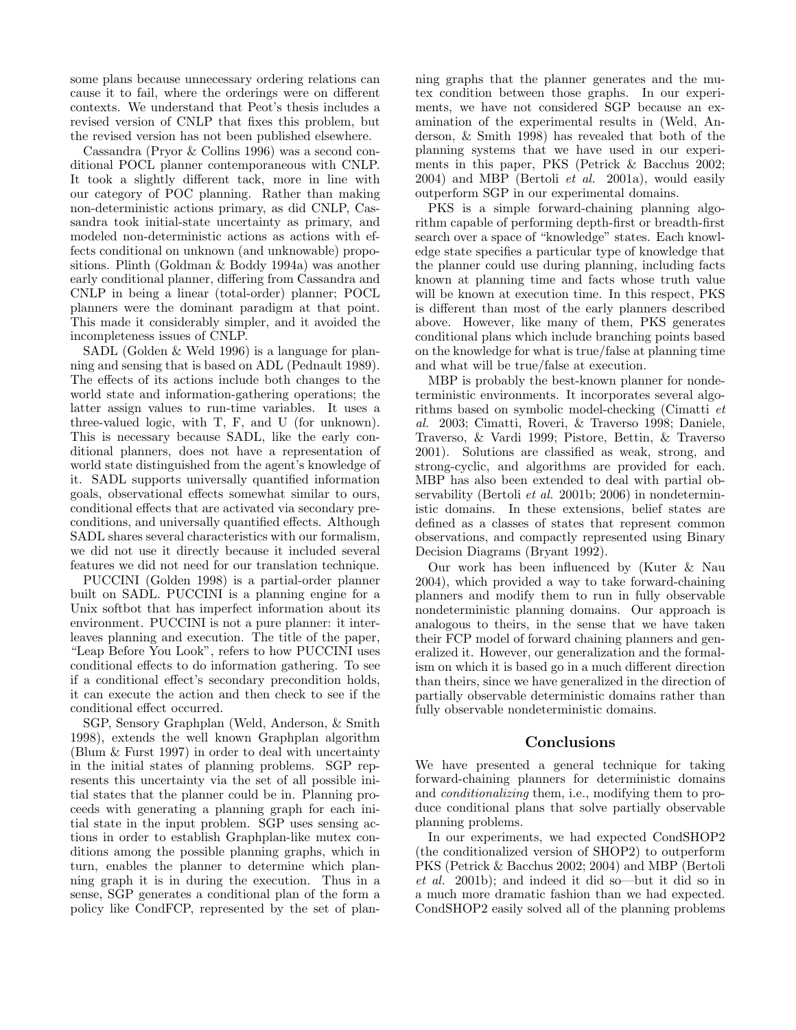some plans because unnecessary ordering relations can cause it to fail, where the orderings were on different contexts. We understand that Peot's thesis includes a revised version of CNLP that fixes this problem, but the revised version has not been published elsewhere.

Cassandra (Pryor & Collins 1996) was a second conditional POCL planner contemporaneous with CNLP. It took a slightly different tack, more in line with our category of POC planning. Rather than making non-deterministic actions primary, as did CNLP, Cassandra took initial-state uncertainty as primary, and modeled non-deterministic actions as actions with effects conditional on unknown (and unknowable) propositions. Plinth (Goldman & Boddy 1994a) was another early conditional planner, differing from Cassandra and CNLP in being a linear (total-order) planner; POCL planners were the dominant paradigm at that point. This made it considerably simpler, and it avoided the incompleteness issues of CNLP.

SADL (Golden & Weld 1996) is a language for planning and sensing that is based on ADL (Pednault 1989). The effects of its actions include both changes to the world state and information-gathering operations; the latter assign values to run-time variables. It uses a three-valued logic, with T, F, and U (for unknown). This is necessary because SADL, like the early conditional planners, does not have a representation of world state distinguished from the agent's knowledge of it. SADL supports universally quantified information goals, observational effects somewhat similar to ours, conditional effects that are activated via secondary preconditions, and universally quantified effects. Although SADL shares several characteristics with our formalism, we did not use it directly because it included several features we did not need for our translation technique.

PUCCINI (Golden 1998) is a partial-order planner built on SADL. PUCCINI is a planning engine for a Unix softbot that has imperfect information about its environment. PUCCINI is not a pure planner: it interleaves planning and execution. The title of the paper, "Leap Before You Look", refers to how PUCCINI uses conditional effects to do information gathering. To see if a conditional effect's secondary precondition holds, it can execute the action and then check to see if the conditional effect occurred.

SGP, Sensory Graphplan (Weld, Anderson, & Smith 1998), extends the well known Graphplan algorithm (Blum & Furst 1997) in order to deal with uncertainty in the initial states of planning problems. SGP represents this uncertainty via the set of all possible initial states that the planner could be in. Planning proceeds with generating a planning graph for each initial state in the input problem. SGP uses sensing actions in order to establish Graphplan-like mutex conditions among the possible planning graphs, which in turn, enables the planner to determine which planning graph it is in during the execution. Thus in a sense, SGP generates a conditional plan of the form a policy like CondFCP, represented by the set of planning graphs that the planner generates and the mutex condition between those graphs. In our experiments, we have not considered SGP because an examination of the experimental results in (Weld, Anderson, & Smith 1998) has revealed that both of the planning systems that we have used in our experiments in this paper, PKS (Petrick & Bacchus 2002; 2004) and MBP (Bertoli et al. 2001a), would easily outperform SGP in our experimental domains.

PKS is a simple forward-chaining planning algorithm capable of performing depth-first or breadth-first search over a space of "knowledge" states. Each knowledge state specifies a particular type of knowledge that the planner could use during planning, including facts known at planning time and facts whose truth value will be known at execution time. In this respect, PKS is different than most of the early planners described above. However, like many of them, PKS generates conditional plans which include branching points based on the knowledge for what is true/false at planning time and what will be true/false at execution.

MBP is probably the best-known planner for nondeterministic environments. It incorporates several algorithms based on symbolic model-checking (Cimatti et al. 2003; Cimatti, Roveri, & Traverso 1998; Daniele, Traverso, & Vardi 1999; Pistore, Bettin, & Traverso 2001). Solutions are classified as weak, strong, and strong-cyclic, and algorithms are provided for each. MBP has also been extended to deal with partial observability (Bertoli *et al.* 2001b; 2006) in nondeterministic domains. In these extensions, belief states are defined as a classes of states that represent common observations, and compactly represented using Binary Decision Diagrams (Bryant 1992).

Our work has been influenced by (Kuter & Nau 2004), which provided a way to take forward-chaining planners and modify them to run in fully observable nondeterministic planning domains. Our approach is analogous to theirs, in the sense that we have taken their FCP model of forward chaining planners and generalized it. However, our generalization and the formalism on which it is based go in a much different direction than theirs, since we have generalized in the direction of partially observable deterministic domains rather than fully observable nondeterministic domains.

# Conclusions

We have presented a general technique for taking forward-chaining planners for deterministic domains and conditionalizing them, i.e., modifying them to produce conditional plans that solve partially observable planning problems.

In our experiments, we had expected CondSHOP2 (the conditionalized version of SHOP2) to outperform PKS (Petrick & Bacchus 2002; 2004) and MBP (Bertoli et al. 2001b); and indeed it did so—but it did so in a much more dramatic fashion than we had expected. CondSHOP2 easily solved all of the planning problems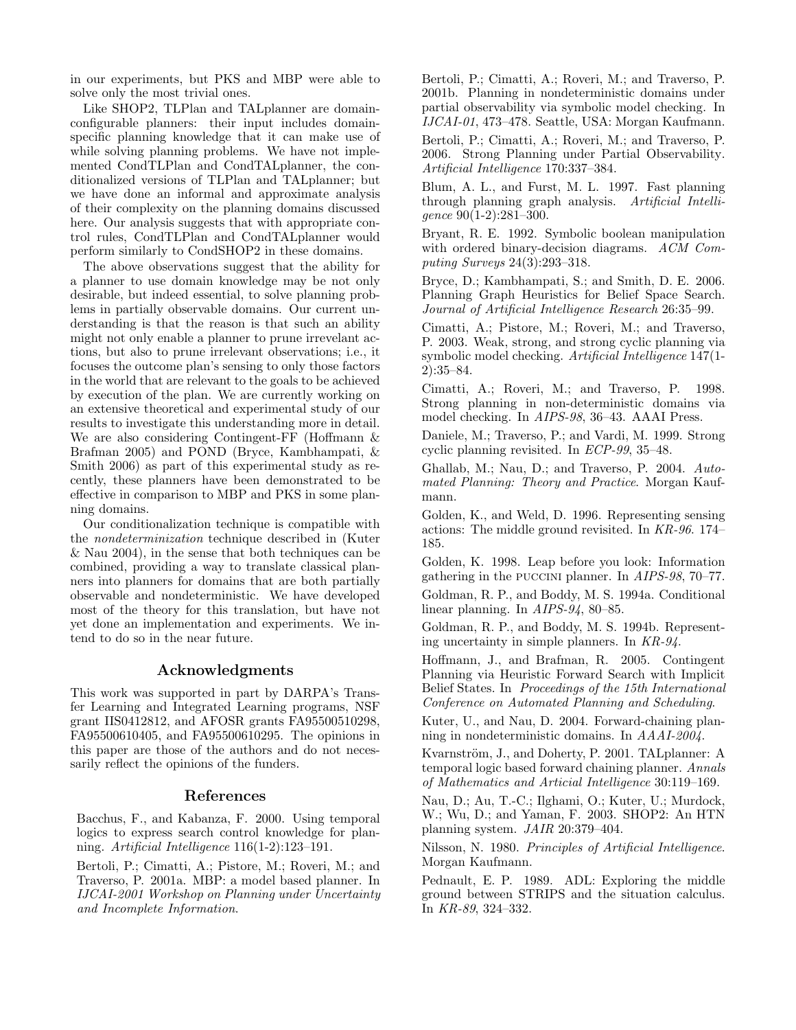in our experiments, but PKS and MBP were able to solve only the most trivial ones.

Like SHOP2, TLPlan and TALplanner are domainconfigurable planners: their input includes domainspecific planning knowledge that it can make use of while solving planning problems. We have not implemented CondTLPlan and CondTALplanner, the conditionalized versions of TLPlan and TALplanner; but we have done an informal and approximate analysis of their complexity on the planning domains discussed here. Our analysis suggests that with appropriate control rules, CondTLPlan and CondTALplanner would perform similarly to CondSHOP2 in these domains.

The above observations suggest that the ability for a planner to use domain knowledge may be not only desirable, but indeed essential, to solve planning problems in partially observable domains. Our current understanding is that the reason is that such an ability might not only enable a planner to prune irrevelant actions, but also to prune irrelevant observations; i.e., it focuses the outcome plan's sensing to only those factors in the world that are relevant to the goals to be achieved by execution of the plan. We are currently working on an extensive theoretical and experimental study of our results to investigate this understanding more in detail. We are also considering Contingent-FF (Hoffmann & Brafman 2005) and POND (Bryce, Kambhampati, & Smith 2006) as part of this experimental study as recently, these planners have been demonstrated to be effective in comparison to MBP and PKS in some planning domains.

Our conditionalization technique is compatible with the nondeterminization technique described in (Kuter & Nau 2004), in the sense that both techniques can be combined, providing a way to translate classical planners into planners for domains that are both partially observable and nondeterministic. We have developed most of the theory for this translation, but have not yet done an implementation and experiments. We intend to do so in the near future.

# Acknowledgments

This work was supported in part by DARPA's Transfer Learning and Integrated Learning programs, NSF grant IIS0412812, and AFOSR grants FA95500510298, FA95500610405, and FA95500610295. The opinions in this paper are those of the authors and do not necessarily reflect the opinions of the funders.

### References

Bacchus, F., and Kabanza, F. 2000. Using temporal logics to express search control knowledge for planning. Artificial Intelligence 116(1-2):123–191.

Bertoli, P.; Cimatti, A.; Pistore, M.; Roveri, M.; and Traverso, P. 2001a. MBP: a model based planner. In IJCAI-2001 Workshop on Planning under Uncertainty and Incomplete Information.

Bertoli, P.; Cimatti, A.; Roveri, M.; and Traverso, P. 2001b. Planning in nondeterministic domains under partial observability via symbolic model checking. In IJCAI-01, 473–478. Seattle, USA: Morgan Kaufmann.

Bertoli, P.; Cimatti, A.; Roveri, M.; and Traverso, P. 2006. Strong Planning under Partial Observability. Artificial Intelligence 170:337–384.

Blum, A. L., and Furst, M. L. 1997. Fast planning through planning graph analysis. Artificial Intelligence 90(1-2):281–300.

Bryant, R. E. 1992. Symbolic boolean manipulation with ordered binary-decision diagrams. ACM Computing Surveys 24(3):293–318.

Bryce, D.; Kambhampati, S.; and Smith, D. E. 2006. Planning Graph Heuristics for Belief Space Search. Journal of Artificial Intelligence Research 26:35–99.

Cimatti, A.; Pistore, M.; Roveri, M.; and Traverso, P. 2003. Weak, strong, and strong cyclic planning via symbolic model checking. Artificial Intelligence 147(1- 2):35–84.

Cimatti, A.; Roveri, M.; and Traverso, P. 1998. Strong planning in non-deterministic domains via model checking. In AIPS-98, 36–43. AAAI Press.

Daniele, M.; Traverso, P.; and Vardi, M. 1999. Strong cyclic planning revisited. In ECP-99, 35–48.

Ghallab, M.; Nau, D.; and Traverso, P. 2004. Automated Planning: Theory and Practice. Morgan Kaufmann.

Golden, K., and Weld, D. 1996. Representing sensing actions: The middle ground revisited. In KR-96. 174– 185.

Golden, K. 1998. Leap before you look: Information gathering in the puccini planner. In AIPS-98, 70–77.

Goldman, R. P., and Boddy, M. S. 1994a. Conditional linear planning. In  $AIPS-94$ , 80–85.

Goldman, R. P., and Boddy, M. S. 1994b. Representing uncertainty in simple planners. In KR-94.

Hoffmann, J., and Brafman, R. 2005. Contingent Planning via Heuristic Forward Search with Implicit Belief States. In Proceedings of the 15th International Conference on Automated Planning and Scheduling.

Kuter, U., and Nau, D. 2004. Forward-chaining planning in nondeterministic domains. In AAAI-2004.

Kvarnström, J., and Doherty, P. 2001. TALplanner: A temporal logic based forward chaining planner. Annals of Mathematics and Articial Intelligence 30:119–169.

Nau, D.; Au, T.-C.; Ilghami, O.; Kuter, U.; Murdock, W.; Wu, D.; and Yaman, F. 2003. SHOP2: An HTN planning system. JAIR 20:379–404.

Nilsson, N. 1980. Principles of Artificial Intelligence. Morgan Kaufmann.

Pednault, E. P. 1989. ADL: Exploring the middle ground between STRIPS and the situation calculus. In KR-89, 324–332.